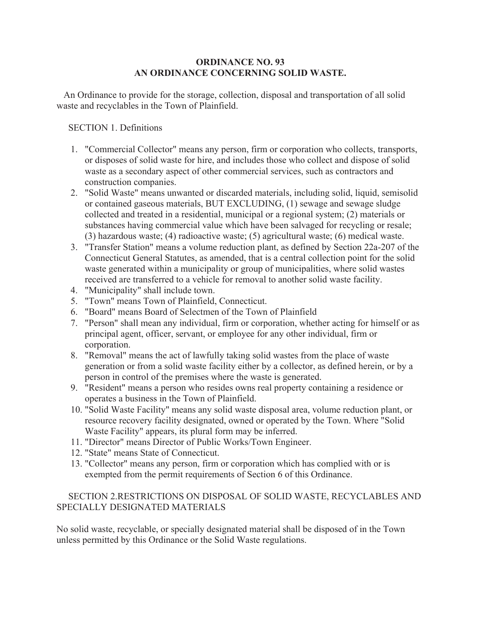## **ORDINANCE NO. 93 AN ORDINANCE CONCERNING SOLID WASTE.**

 An Ordinance to provide for the storage, collection, disposal and transportation of all solid waste and recyclables in the Town of Plainfield.

SECTION 1. Definitions

- 1. "Commercial Collector" means any person, firm or corporation who collects, transports, or disposes of solid waste for hire, and includes those who collect and dispose of solid waste as a secondary aspect of other commercial services, such as contractors and construction companies.
- 2. "Solid Waste" means unwanted or discarded materials, including solid, liquid, semisolid or contained gaseous materials, BUT EXCLUDING, (1) sewage and sewage sludge collected and treated in a residential, municipal or a regional system; (2) materials or substances having commercial value which have been salvaged for recycling or resale; (3) hazardous waste; (4) radioactive waste; (5) agricultural waste; (6) medical waste.
- 3. "Transfer Station" means a volume reduction plant, as defined by Section 22a-207 of the Connecticut General Statutes, as amended, that is a central collection point for the solid waste generated within a municipality or group of municipalities, where solid wastes received are transferred to a vehicle for removal to another solid waste facility.
- 4. "Municipality" shall include town.
- 5. "Town" means Town of Plainfield, Connecticut.
- 6. "Board" means Board of Selectmen of the Town of Plainfield
- 7. "Person" shall mean any individual, firm or corporation, whether acting for himself or as principal agent, officer, servant, or employee for any other individual, firm or corporation.
- 8. "Removal" means the act of lawfully taking solid wastes from the place of waste generation or from a solid waste facility either by a collector, as defined herein, or by a person in control of the premises where the waste is generated.
- 9. "Resident" means a person who resides owns real property containing a residence or operates a business in the Town of Plainfield.
- 10. "Solid Waste Facility" means any solid waste disposal area, volume reduction plant, or resource recovery facility designated, owned or operated by the Town. Where "Solid Waste Facility" appears, its plural form may be inferred.
- 11. "Director" means Director of Public Works/Town Engineer.
- 12. "State" means State of Connecticut.
- 13. "Collector" means any person, firm or corporation which has complied with or is exempted from the permit requirements of Section 6 of this Ordinance.

# SECTION 2.RESTRICTIONS ON DISPOSAL OF SOLID WASTE, RECYCLABLES AND SPECIALLY DESIGNATED MATERIALS

No solid waste, recyclable, or specially designated material shall be disposed of in the Town unless permitted by this Ordinance or the Solid Waste regulations.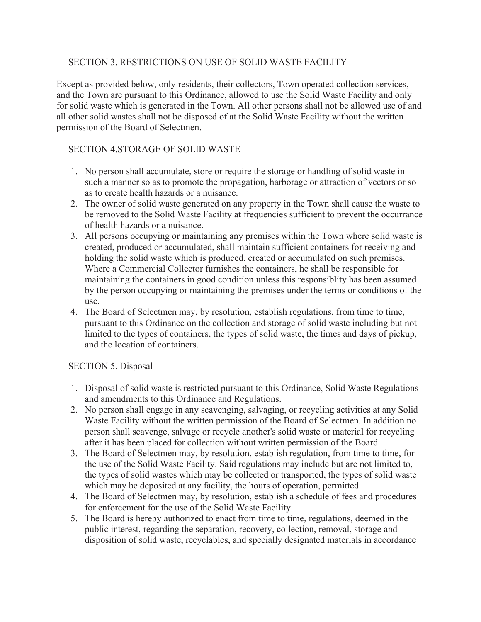# SECTION 3. RESTRICTIONS ON USE OF SOLID WASTE FACILITY

Except as provided below, only residents, their collectors, Town operated collection services, and the Town are pursuant to this Ordinance, allowed to use the Solid Waste Facility and only for solid waste which is generated in the Town. All other persons shall not be allowed use of and all other solid wastes shall not be disposed of at the Solid Waste Facility without the written permission of the Board of Selectmen.

# SECTION 4.STORAGE OF SOLID WASTE

- 1. No person shall accumulate, store or require the storage or handling of solid waste in such a manner so as to promote the propagation, harborage or attraction of vectors or so as to create health hazards or a nuisance.
- 2. The owner of solid waste generated on any property in the Town shall cause the waste to be removed to the Solid Waste Facility at frequencies sufficient to prevent the occurrance of health hazards or a nuisance.
- 3. All persons occupying or maintaining any premises within the Town where solid waste is created, produced or accumulated, shall maintain sufficient containers for receiving and holding the solid waste which is produced, created or accumulated on such premises. Where a Commercial Collector furnishes the containers, he shall be responsible for maintaining the containers in good condition unless this responsiblity has been assumed by the person occupying or maintaining the premises under the terms or conditions of the use.
- 4. The Board of Selectmen may, by resolution, establish regulations, from time to time, pursuant to this Ordinance on the collection and storage of solid waste including but not limited to the types of containers, the types of solid waste, the times and days of pickup, and the location of containers.

# SECTION 5. Disposal

- 1. Disposal of solid waste is restricted pursuant to this Ordinance, Solid Waste Regulations and amendments to this Ordinance and Regulations.
- 2. No person shall engage in any scavenging, salvaging, or recycling activities at any Solid Waste Facility without the written permission of the Board of Selectmen. In addition no person shall scavenge, salvage or recycle another's solid waste or material for recycling after it has been placed for collection without written permission of the Board.
- 3. The Board of Selectmen may, by resolution, establish regulation, from time to time, for the use of the Solid Waste Facility. Said regulations may include but are not limited to, the types of solid wastes which may be collected or transported, the types of solid waste which may be deposited at any facility, the hours of operation, permitted.
- 4. The Board of Selectmen may, by resolution, establish a schedule of fees and procedures for enforcement for the use of the Solid Waste Facility.
- 5. The Board is hereby authorized to enact from time to time, regulations, deemed in the public interest, regarding the separation, recovery, collection, removal, storage and disposition of solid waste, recyclables, and specially designated materials in accordance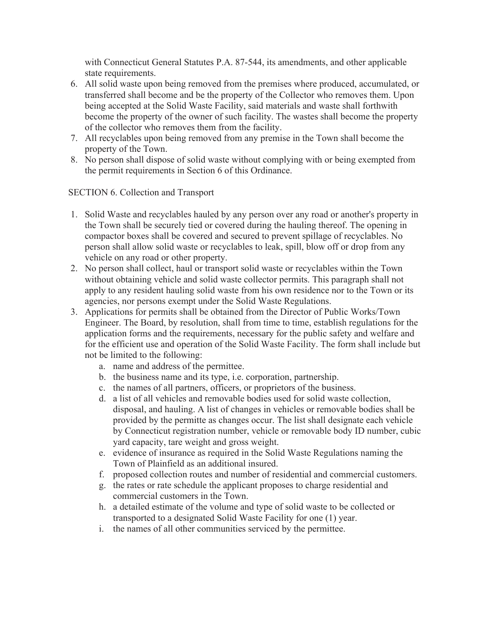with Connecticut General Statutes P.A. 87-544, its amendments, and other applicable state requirements.

- 6. All solid waste upon being removed from the premises where produced, accumulated, or transferred shall become and be the property of the Collector who removes them. Upon being accepted at the Solid Waste Facility, said materials and waste shall forthwith become the property of the owner of such facility. The wastes shall become the property of the collector who removes them from the facility.
- 7. All recyclables upon being removed from any premise in the Town shall become the property of the Town.
- 8. No person shall dispose of solid waste without complying with or being exempted from the permit requirements in Section 6 of this Ordinance.

# SECTION 6. Collection and Transport

- 1. Solid Waste and recyclables hauled by any person over any road or another's property in the Town shall be securely tied or covered during the hauling thereof. The opening in compactor boxes shall be covered and secured to prevent spillage of recyclables. No person shall allow solid waste or recyclables to leak, spill, blow off or drop from any vehicle on any road or other property.
- 2. No person shall collect, haul or transport solid waste or recyclables within the Town without obtaining vehicle and solid waste collector permits. This paragraph shall not apply to any resident hauling solid waste from his own residence nor to the Town or its agencies, nor persons exempt under the Solid Waste Regulations.
- 3. Applications for permits shall be obtained from the Director of Public Works/Town Engineer. The Board, by resolution, shall from time to time, establish regulations for the application forms and the requirements, necessary for the public safety and welfare and for the efficient use and operation of the Solid Waste Facility. The form shall include but not be limited to the following:
	- a. name and address of the permittee.
	- b. the business name and its type, i.e. corporation, partnership.
	- c. the names of all partners, officers, or proprietors of the business.
	- d. a list of all vehicles and removable bodies used for solid waste collection, disposal, and hauling. A list of changes in vehicles or removable bodies shall be provided by the permitte as changes occur. The list shall designate each vehicle by Connecticut registration number, vehicle or removable body ID number, cubic yard capacity, tare weight and gross weight.
	- e. evidence of insurance as required in the Solid Waste Regulations naming the Town of Plainfield as an additional insured.
	- f. proposed collection routes and number of residential and commercial customers.
	- g. the rates or rate schedule the applicant proposes to charge residential and commercial customers in the Town.
	- h. a detailed estimate of the volume and type of solid waste to be collected or transported to a designated Solid Waste Facility for one (1) year.
	- i. the names of all other communities serviced by the permittee.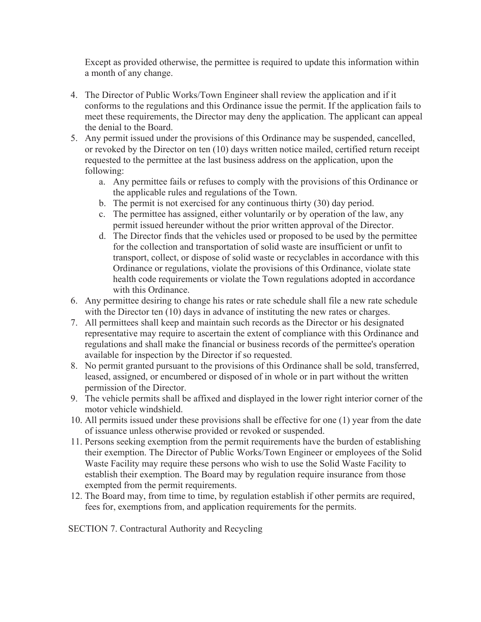Except as provided otherwise, the permittee is required to update this information within a month of any change.

- 4. The Director of Public Works/Town Engineer shall review the application and if it conforms to the regulations and this Ordinance issue the permit. If the application fails to meet these requirements, the Director may deny the application. The applicant can appeal the denial to the Board.
- 5. Any permit issued under the provisions of this Ordinance may be suspended, cancelled, or revoked by the Director on ten (10) days written notice mailed, certified return receipt requested to the permittee at the last business address on the application, upon the following:
	- a. Any permittee fails or refuses to comply with the provisions of this Ordinance or the applicable rules and regulations of the Town.
	- b. The permit is not exercised for any continuous thirty (30) day period.
	- c. The permittee has assigned, either voluntarily or by operation of the law, any permit issued hereunder without the prior written approval of the Director.
	- d. The Director finds that the vehicles used or proposed to be used by the permittee for the collection and transportation of solid waste are insufficient or unfit to transport, collect, or dispose of solid waste or recyclables in accordance with this Ordinance or regulations, violate the provisions of this Ordinance, violate state health code requirements or violate the Town regulations adopted in accordance with this Ordinance.
- 6. Any permittee desiring to change his rates or rate schedule shall file a new rate schedule with the Director ten (10) days in advance of instituting the new rates or charges.
- 7. All permittees shall keep and maintain such records as the Director or his designated representative may require to ascertain the extent of compliance with this Ordinance and regulations and shall make the financial or business records of the permittee's operation available for inspection by the Director if so requested.
- 8. No permit granted pursuant to the provisions of this Ordinance shall be sold, transferred, leased, assigned, or encumbered or disposed of in whole or in part without the written permission of the Director.
- 9. The vehicle permits shall be affixed and displayed in the lower right interior corner of the motor vehicle windshield.
- 10. All permits issued under these provisions shall be effective for one (1) year from the date of issuance unless otherwise provided or revoked or suspended.
- 11. Persons seeking exemption from the permit requirements have the burden of establishing their exemption. The Director of Public Works/Town Engineer or employees of the Solid Waste Facility may require these persons who wish to use the Solid Waste Facility to establish their exemption. The Board may by regulation require insurance from those exempted from the permit requirements.
- 12. The Board may, from time to time, by regulation establish if other permits are required, fees for, exemptions from, and application requirements for the permits.

SECTION 7. Contractural Authority and Recycling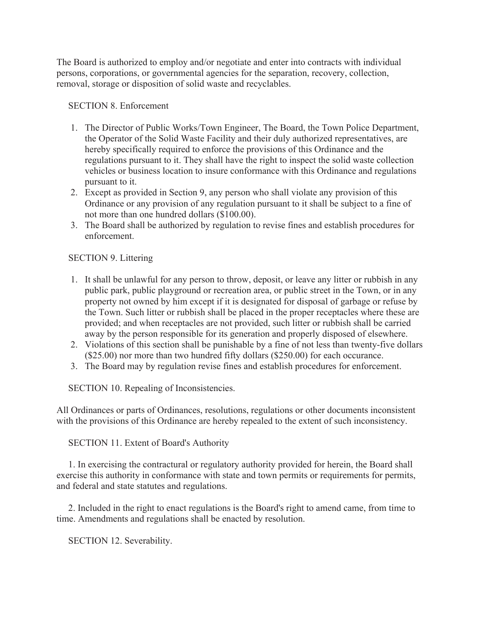The Board is authorized to employ and/or negotiate and enter into contracts with individual persons, corporations, or governmental agencies for the separation, recovery, collection, removal, storage or disposition of solid waste and recyclables.

SECTION 8. Enforcement

- 1. The Director of Public Works/Town Engineer, The Board, the Town Police Department, the Operator of the Solid Waste Facility and their duly authorized representatives, are hereby specifically required to enforce the provisions of this Ordinance and the regulations pursuant to it. They shall have the right to inspect the solid waste collection vehicles or business location to insure conformance with this Ordinance and regulations pursuant to it.
- 2. Except as provided in Section 9, any person who shall violate any provision of this Ordinance or any provision of any regulation pursuant to it shall be subject to a fine of not more than one hundred dollars (\$100.00).
- 3. The Board shall be authorized by regulation to revise fines and establish procedures for enforcement.

SECTION 9. Littering

- 1. It shall be unlawful for any person to throw, deposit, or leave any litter or rubbish in any public park, public playground or recreation area, or public street in the Town, or in any property not owned by him except if it is designated for disposal of garbage or refuse by the Town. Such litter or rubbish shall be placed in the proper receptacles where these are provided; and when receptacles are not provided, such litter or rubbish shall be carried away by the person responsible for its generation and properly disposed of elsewhere.
- 2. Violations of this section shall be punishable by a fine of not less than twenty-five dollars (\$25.00) nor more than two hundred fifty dollars (\$250.00) for each occurance.
- 3. The Board may by regulation revise fines and establish procedures for enforcement.

SECTION 10. Repealing of Inconsistencies.

All Ordinances or parts of Ordinances, resolutions, regulations or other documents inconsistent with the provisions of this Ordinance are hereby repealed to the extent of such inconsistency.

SECTION 11. Extent of Board's Authority

 1. In exercising the contractural or regulatory authority provided for herein, the Board shall exercise this authority in conformance with state and town permits or requirements for permits, and federal and state statutes and regulations.

 2. Included in the right to enact regulations is the Board's right to amend came, from time to time. Amendments and regulations shall be enacted by resolution.

SECTION 12. Severability.